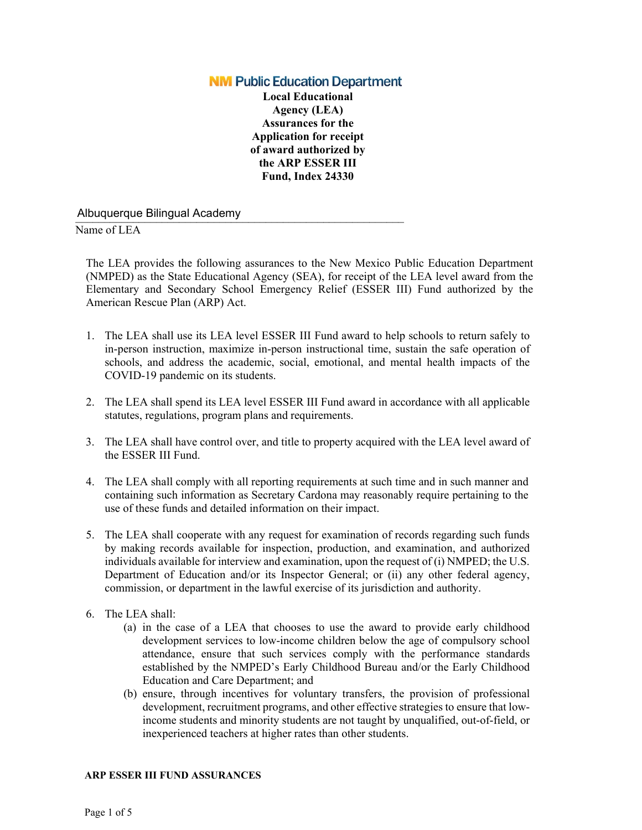## **NM Public Education Department**

**Local Educational Agency (LEA) Assurances for the Application for receipt of award authorized by the ARP ESSER III Fund, Index 24330**

# \_\_\_\_\_\_\_\_\_\_\_\_\_\_\_\_\_\_\_\_\_\_\_\_\_\_\_\_\_\_\_\_\_\_\_\_\_\_\_\_\_\_\_\_\_\_\_\_\_\_\_\_\_\_\_\_\_ Albuquerque Bilingual Academy

#### Name of LEA

The LEA provides the following assurances to the New Mexico Public Education Department (NMPED) as the State Educational Agency (SEA), for receipt of the LEA level award from the Elementary and Secondary School Emergency Relief (ESSER III) Fund authorized by the American Rescue Plan (ARP) Act.

- 1. The LEA shall use its LEA level ESSER III Fund award to help schools to return safely to in-person instruction, maximize in-person instructional time, sustain the safe operation of schools, and address the academic, social, emotional, and mental health impacts of the COVID-19 pandemic on its students.
- 2. The LEA shall spend its LEA level ESSER III Fund award in accordance with all applicable statutes, regulations, program plans and requirements.
- 3. The LEA shall have control over, and title to property acquired with the LEA level award of the ESSER III Fund.
- 4. The LEA shall comply with all reporting requirements at such time and in such manner and containing such information as Secretary Cardona may reasonably require pertaining to the use of these funds and detailed information on their impact.
- 5. The LEA shall cooperate with any request for examination of records regarding such funds by making records available for inspection, production, and examination, and authorized individuals available for interview and examination, upon the request of (i) NMPED; the U.S. Department of Education and/or its Inspector General; or (ii) any other federal agency, commission, or department in the lawful exercise of its jurisdiction and authority.
- 6. The LEA shall:
	- (a) in the case of a LEA that chooses to use the award to provide early childhood development services to low-income children below the age of compulsory school attendance, ensure that such services comply with the performance standards established by the NMPED's Early Childhood Bureau and/or the Early Childhood Education and Care Department; and
	- (b) ensure, through incentives for voluntary transfers, the provision of professional development, recruitment programs, and other effective strategies to ensure that lowincome students and minority students are not taught by unqualified, out-of-field, or inexperienced teachers at higher rates than other students.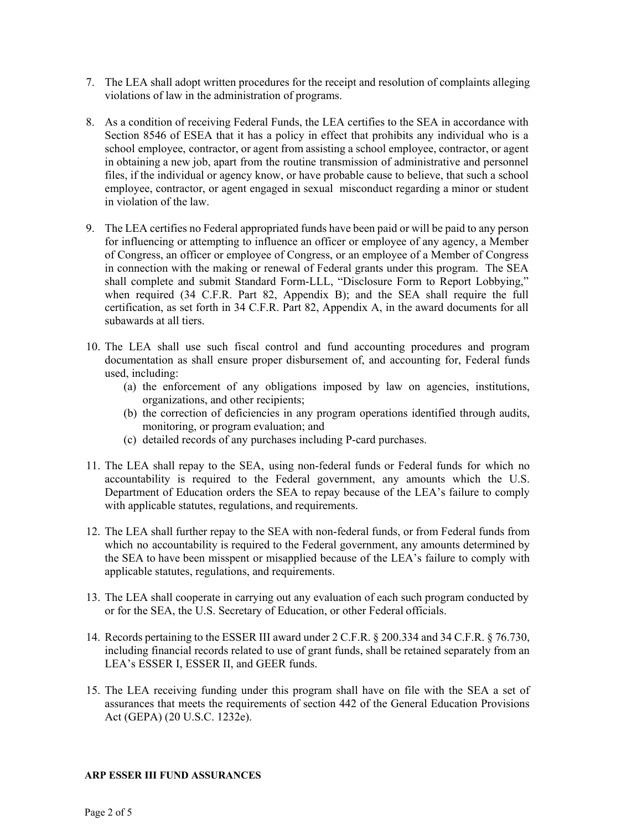- 7. The LEA shall adopt written procedures for the receipt and resolution of complaints alleging violations of law in the administration of programs.
- 8. As a condition of receiving Federal Funds, the LEA certifies to the SEA in accordance with Section 8546 of ESEA that it has a policy in effect that prohibits any individual who is a school employee, contractor, or agent from assisting a school employee, contractor, or agent in obtaining a new job, apart from the routine transmission of administrative and personnel files, if the individual or agency know, or have probable cause to believe, that such a school employee, contractor, or agent engaged in sexual misconduct regarding a minor or student in violation of the law.
- 9. The LEA certifies no Federal appropriated funds have been paid or will be paid to any person for influencing or attempting to influence an officer or employee of any agency, a Member of Congress, an officer or employee of Congress, or an employee of a Member of Congress in connection with the making or renewal of Federal grants under this program. The SEA shall complete and submit Standard Form-LLL, "Disclosure Form to Report Lobbying," when required (34 C.F.R. Part 82, Appendix B); and the SEA shall require the full certification, as set forth in 34 C.F.R. Part 82, Appendix A, in the award documents for all subawards at all tiers.
- 10. The LEA shall use such fiscal control and fund accounting procedures and program documentation as shall ensure proper disbursement of, and accounting for, Federal funds used, including:
	- (a) the enforcement of any obligations imposed by law on agencies, institutions, organizations, and other recipients;
	- (b) the correction of deficiencies in any program operations identified through audits, monitoring, or program evaluation; and
	- (c) detailed records of any purchases including P-card purchases.
- 11. The LEA shall repay to the SEA, using non-federal funds or Federal funds for which no accountability is required to the Federal government, any amounts which the U.S. Department of Education orders the SEA to repay because of the LEA's failure to comply with applicable statutes, regulations, and requirements.
- 12. The LEA shall further repay to the SEA with non-federal funds, or from Federal funds from which no accountability is required to the Federal government, any amounts determined by the SEA to have been misspent or misapplied because of the LEA's failure to comply with applicable statutes, regulations, and requirements.
- 13. The LEA shall cooperate in carrying out any evaluation of each such program conducted by or for the SEA, the U.S. Secretary of Education, or other Federal officials.
- 14. Records pertaining to the ESSER III award under 2 C.F.R. § 200.334 and 34 C.F.R. § 76.730, including financial records related to use of grant funds, shall be retained separately from an LEA's ESSER I, ESSER II, and GEER funds.
- 15. The LEA receiving funding under this program shall have on file with the SEA a set of assurances that meets the requirements of section 442 of the General Education Provisions Act (GEPA) (20 U.S.C. 1232e).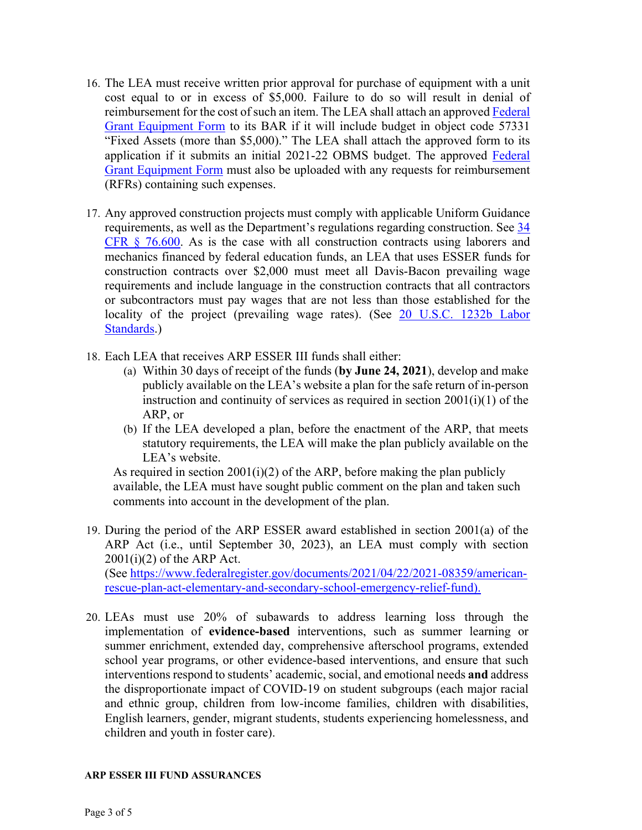- 16. The LEA must receive written prior approval for purchase of equipment with a unit cost equal to or in excess of \$5,000. Failure to do so will result in denial of reimbursement for the cost of such an item. The LEA shall attach an approve[d Federal](https://webnew.ped.state.nm.us/wp-content/uploads/2017/12/PED_FederalGrantApprovalForm_for_Equipment.xlsx)  [Grant Equipment Form](https://webnew.ped.state.nm.us/wp-content/uploads/2017/12/PED_FederalGrantApprovalForm_for_Equipment.xlsx) to its BAR if it will include budget in object code 57331 "Fixed Assets (more than \$5,000)." The LEA shall attach the approved form to its application if it submits an initial 2021-22 OBMS budget. The approved Federal [Grant Equipment Form](https://webnew.ped.state.nm.us/wp-content/uploads/2017/12/PED_FederalGrantApprovalForm_for_Equipment.xlsx) must also be uploaded with any requests for reimbursement (RFRs) containing such expenses.
- 17. Any approved construction projects must comply with applicable Uniform Guidance requirements, as well as the Department's regulations regarding construction. See [34](https://www.ecfr.gov/cgi-bin/text-idx?SID=160652049720bc92e11be86ee7389081&mc=true&node=pt34.1.76&rgn=div5#se34.1.76_1600)  [CFR § 76.600.](https://www.ecfr.gov/cgi-bin/text-idx?SID=160652049720bc92e11be86ee7389081&mc=true&node=pt34.1.76&rgn=div5#se34.1.76_1600) As is the case with all construction contracts using laborers and mechanics financed by federal education funds, an LEA that uses ESSER funds for construction contracts over \$2,000 must meet all Davis-Bacon prevailing wage requirements and include language in the construction contracts that all contractors or subcontractors must pay wages that are not less than those established for the locality of the project (prevailing wage rates). (See 20 U.S.C. 1232b Labor [Standards.](https://uscode.house.gov/view.xhtml?req=granuleid:USC-prelim-title20-section1232b&num=0&edition=prelim))
- 18. Each LEA that receives ARP ESSER III funds shall either:
	- (a) Within 30 days of receipt of the funds (**by June 24, 2021**), develop and make publicly available on the LEA's website a plan for the safe return of in-person instruction and continuity of services as required in section 2001(i)(1) of the ARP, or
	- (b) If the LEA developed a plan, before the enactment of the ARP, that meets statutory requirements, the LEA will make the plan publicly available on the LEA's website.

As required in section 2001(i)(2) of the ARP, before making the plan publicly available, the LEA must have sought public comment on the plan and taken such comments into account in the development of the plan.

- 19. During the period of the ARP ESSER award established in section 2001(a) of the ARP Act (i.e., until September 30, 2023), an LEA must comply with section  $2001(i)(2)$  of the ARP Act. (See [https://www.federalregister.gov/documents/2021/04/22/2021-08359/american](https://www.federalregister.gov/documents/2021/04/22/2021-08359/american-rescue-plan-act-elementary-and-secondary-school-emergency-relief-fund)[rescue-plan-act-elementary-and-secondary-school-emergency-relief-fund\)](https://www.federalregister.gov/documents/2021/04/22/2021-08359/american-rescue-plan-act-elementary-and-secondary-school-emergency-relief-fund).
- 20. LEAs must use 20% of subawards to address learning loss through the implementation of **evidence-based** interventions, such as summer learning or summer enrichment, extended day, comprehensive afterschool programs, extended school year programs, or other evidence-based interventions, and ensure that such interventions respond to students' academic, social, and emotional needs **and** address the disproportionate impact of COVID-19 on student subgroups (each major racial and ethnic group, children from low-income families, children with disabilities, English learners, gender, migrant students, students experiencing homelessness, and children and youth in foster care).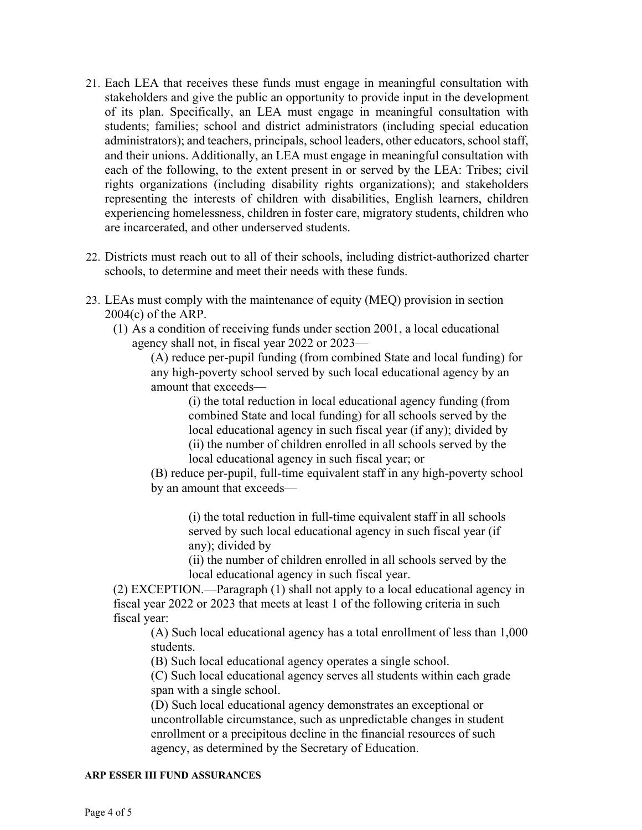- 21. Each LEA that receives these funds must engage in meaningful consultation with stakeholders and give the public an opportunity to provide input in the development of its plan. Specifically, an LEA must engage in meaningful consultation with students; families; school and district administrators (including special education administrators); and teachers, principals, school leaders, other educators, school staff, and their unions. Additionally, an LEA must engage in meaningful consultation with each of the following, to the extent present in or served by the LEA: Tribes; civil rights organizations (including disability rights organizations); and stakeholders representing the interests of children with disabilities, English learners, children experiencing homelessness, children in foster care, migratory students, children who are incarcerated, and other underserved students.
- 22. Districts must reach out to all of their schools, including district-authorized charter schools, to determine and meet their needs with these funds.
- 23. LEAs must comply with the maintenance of equity (MEQ) provision in section 2004(c) of the ARP.
	- (1) As a condition of receiving funds under section 2001, a local educational agency shall not, in fiscal year 2022 or 2023—

(A) reduce per-pupil funding (from combined State and local funding) for any high-poverty school served by such local educational agency by an amount that exceeds—

> (i) the total reduction in local educational agency funding (from combined State and local funding) for all schools served by the local educational agency in such fiscal year (if any); divided by (ii) the number of children enrolled in all schools served by the local educational agency in such fiscal year; or

(B) reduce per-pupil, full-time equivalent staff in any high-poverty school by an amount that exceeds—

(i) the total reduction in full-time equivalent staff in all schools served by such local educational agency in such fiscal year (if any); divided by

(ii) the number of children enrolled in all schools served by the local educational agency in such fiscal year.

(2) EXCEPTION.—Paragraph (1) shall not apply to a local educational agency in fiscal year 2022 or 2023 that meets at least 1 of the following criteria in such fiscal year:

(A) Such local educational agency has a total enrollment of less than 1,000 students.

(B) Such local educational agency operates a single school.

(C) Such local educational agency serves all students within each grade span with a single school.

(D) Such local educational agency demonstrates an exceptional or uncontrollable circumstance, such as unpredictable changes in student enrollment or a precipitous decline in the financial resources of such agency, as determined by the Secretary of Education.